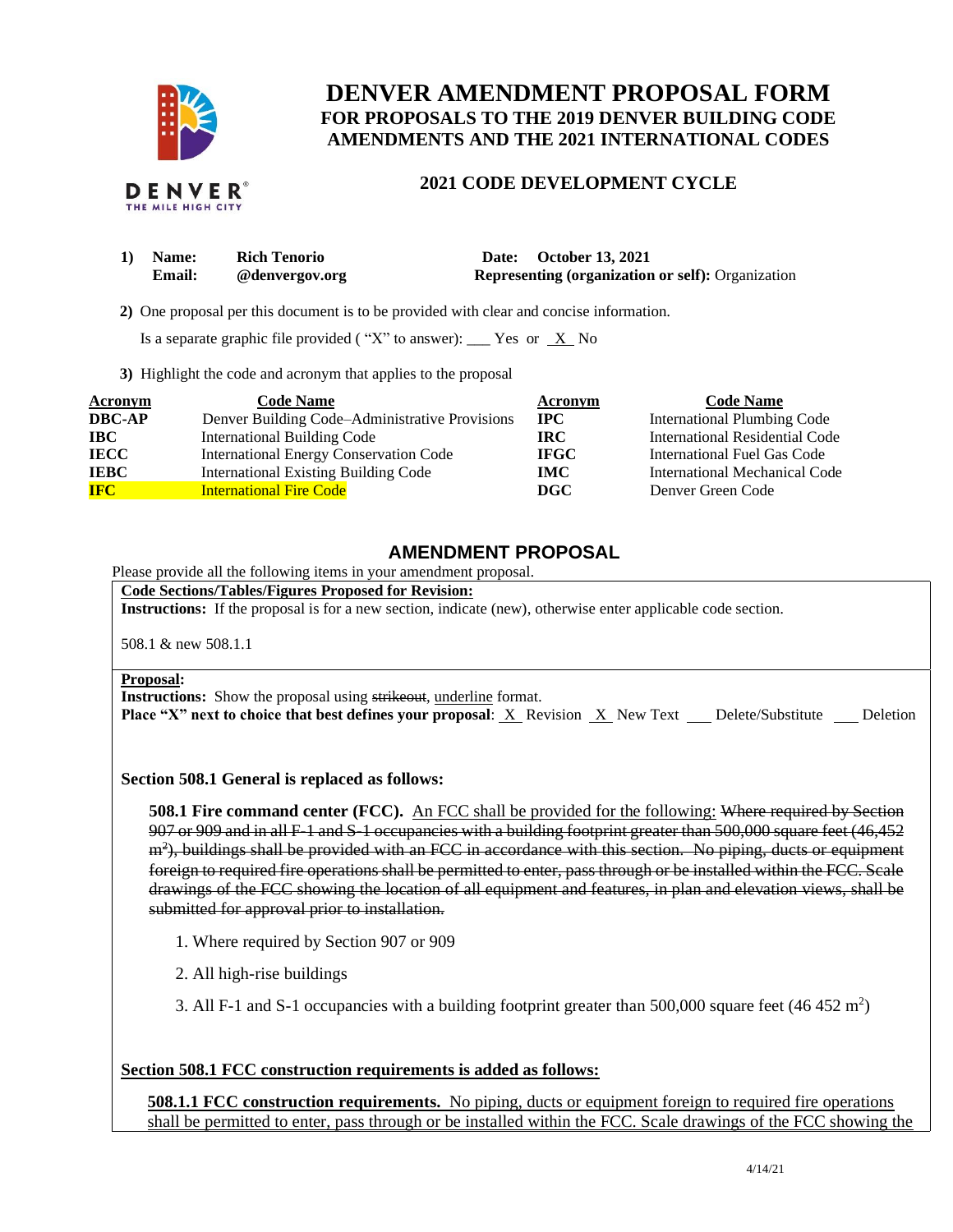

# **DENVER AMENDMENT PROPOSAL FORM FOR PROPOSALS TO THE 2019 DENVER BUILDING CODE AMENDMENTS AND THE 2021 INTERNATIONAL CODES**

## **2021 CODE DEVELOPMENT CYCLE**

| $\bf{1)}$ | <b>Name:</b>  | <b>Rich Tenorio</b> | Date: October 13, 2021                                   |
|-----------|---------------|---------------------|----------------------------------------------------------|
|           | <b>Email:</b> | @denvergov.org      | <b>Representing (organization or self):</b> Organization |
|           |               |                     |                                                          |

 **2)** One proposal per this document is to be provided with clear and concise information.

Is a separate graphic file provided ("X" to answer): \_\_\_ Yes or  $X$  No

**3)** Highlight the code and acronym that applies to the proposal

| Acronym       | <b>Code Name</b>                               | Acronym      | <b>Code Name</b>                   |
|---------------|------------------------------------------------|--------------|------------------------------------|
| <b>DBC-AP</b> | Denver Building Code-Administrative Provisions | $_{\rm IPC}$ | <b>International Plumbing Code</b> |
| <b>IBC</b>    | <b>International Building Code</b>             | IRC.         | International Residential Code     |
| <b>IECC</b>   | International Energy Conservation Code         | <b>IFGC</b>  | International Fuel Gas Code        |
| <b>IEBC</b>   | <b>International Existing Building Code</b>    | <b>IMC</b>   | International Mechanical Code      |
| <b>IFC</b>    | <b>International Fire Code</b>                 | <b>DGC</b>   | Denver Green Code                  |

# **AMENDMENT PROPOSAL**

Please provide all the following items in your amendment proposal.

**Code Sections/Tables/Figures Proposed for Revision:**

**Instructions:** If the proposal is for a new section, indicate (new), otherwise enter applicable code section.

508.1 & new 508.1.1

### **Proposal:**

**Instructions:** Show the proposal using strikeout, underline format.

**Place "X" next to choice that best defines your proposal:** X Revision X New Text Delete/Substitute Deletion

**Section 508.1 General is replaced as follows:** 

**508.1 Fire command center (FCC).** An FCC shall be provided for the following: Where required by Section 907 or 909 and in all F-1 and S-1 occupancies with a building footprint greater than 500,000 square feet (46,452 m<sup>2</sup>), buildings shall be provided with an FCC in accordance with this section. No piping, ducts or equipment foreign to required fire operations shall be permitted to enter, pass through or be installed within the FCC. Scale drawings of the FCC showing the location of all equipment and features, in plan and elevation views, shall be submitted for approval prior to installation.

- 1. Where required by Section 907 or 909
- 2. All high-rise buildings
- 3. All F-1 and S-1 occupancies with a building footprint greater than 500,000 square feet (46 452 m<sup>2</sup>)

### **Section 508.1 FCC construction requirements is added as follows:**

**508.1.1 FCC construction requirements.** No piping, ducts or equipment foreign to required fire operations shall be permitted to enter, pass through or be installed within the FCC. Scale drawings of the FCC showing the